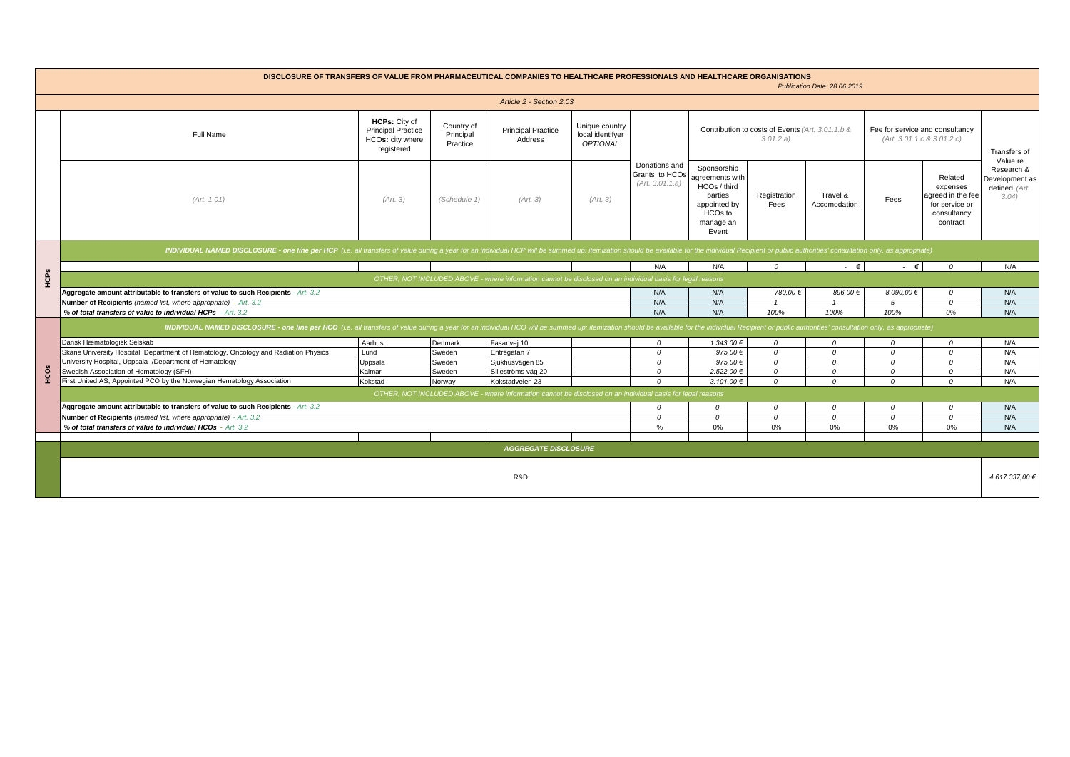| DISCLOSURE OF TRANSFERS OF VALUE FROM PHARMACEUTICAL COMPANIES TO HEALTHCARE PROFESSIONALS AND HEALTHCARE ORGANISATIONS<br>Publication Date: 28.06.2019 |                                                                                                                                                                                                                                       |                                                                                     |                                     |                                                                                                            |                                                       |                                                    |                                                                                                            |                      |                          |                                                               |                                                                                       |                                                        |  |  |
|---------------------------------------------------------------------------------------------------------------------------------------------------------|---------------------------------------------------------------------------------------------------------------------------------------------------------------------------------------------------------------------------------------|-------------------------------------------------------------------------------------|-------------------------------------|------------------------------------------------------------------------------------------------------------|-------------------------------------------------------|----------------------------------------------------|------------------------------------------------------------------------------------------------------------|----------------------|--------------------------|---------------------------------------------------------------|---------------------------------------------------------------------------------------|--------------------------------------------------------|--|--|
| Article 2 - Section 2.03                                                                                                                                |                                                                                                                                                                                                                                       |                                                                                     |                                     |                                                                                                            |                                                       |                                                    |                                                                                                            |                      |                          |                                                               |                                                                                       |                                                        |  |  |
|                                                                                                                                                         | Full Name                                                                                                                                                                                                                             | <b>HCPs: City of</b><br><b>Principal Practice</b><br>HCOs: city where<br>registered | Country of<br>Principal<br>Practice | <b>Principal Practice</b><br>Address                                                                       | Unique country<br>local identifyer<br><b>OPTIONAL</b> |                                                    | Contribution to costs of Events (Art. 3.01.1.b &<br>3.01.2.a)                                              |                      |                          | Fee for service and consultancy<br>(Art. 3.01.1.c & 3.01.2.c) |                                                                                       | Transfers of<br>Value re                               |  |  |
|                                                                                                                                                         | (Art. 1.01)                                                                                                                                                                                                                           | (Art. 3)                                                                            | (Schedule 1)                        | (Art. 3)                                                                                                   | (Art. 3)                                              | Donations and<br>Grants to HCOs<br>(Art. 3.01.1.a) | Sponsorship<br>agreements with<br>HCOs / third<br>parties<br>appointed by<br>HCOs to<br>manage an<br>Event | Registration<br>Fees | Travel &<br>Accomodation | Fees                                                          | Related<br>expenses<br>agreed in the fee<br>for service or<br>consultancy<br>contract | Research &<br>Development as<br>defined (Art.<br>3.04) |  |  |
|                                                                                                                                                         | INDIVIDUAL NAMED DISCLOSURE - one line per HCP (i.e. all transfers of value during a year for an individual HCP will be summed up: itemization should be available for the individual Recipient or public authorities' consult        |                                                                                     |                                     |                                                                                                            |                                                       |                                                    |                                                                                                            |                      |                          |                                                               |                                                                                       |                                                        |  |  |
|                                                                                                                                                         |                                                                                                                                                                                                                                       |                                                                                     |                                     |                                                                                                            |                                                       | N/A                                                | N/A                                                                                                        | $\mathcal O$         | $ \epsilon$              | $\cdot \in$                                                   | $\mathcal{O}$                                                                         | N/A                                                    |  |  |
| HCPS                                                                                                                                                    |                                                                                                                                                                                                                                       |                                                                                     |                                     | OTHER, NOT INCLUDED ABOVE - where information cannot be disclosed on an individual basis for legal reasons |                                                       |                                                    |                                                                                                            |                      |                          |                                                               |                                                                                       |                                                        |  |  |
|                                                                                                                                                         | Aggregate amount attributable to transfers of value to such Recipients - Art. 3.2<br>780,00€<br>896.00€<br>8.090.00 €<br>N/A<br>N/A<br>$\mathcal{O}$                                                                                  |                                                                                     |                                     |                                                                                                            |                                                       |                                                    |                                                                                                            |                      |                          |                                                               |                                                                                       |                                                        |  |  |
|                                                                                                                                                         | Number of Recipients (named list, where appropriate) - Art. 3.2                                                                                                                                                                       | N/A                                                                                 | N/A                                 | $\mathbf{1}$                                                                                               | $\overline{1}$                                        | 5                                                  | $\mathcal{O}$                                                                                              | N/A<br>N/A           |                          |                                                               |                                                                                       |                                                        |  |  |
|                                                                                                                                                         | % of total transfers of value to individual HCPs - Art. 3.2                                                                                                                                                                           |                                                                                     |                                     |                                                                                                            |                                                       |                                                    | N/A                                                                                                        | 100%                 | 100%                     | 100%                                                          | 0%                                                                                    | N/A                                                    |  |  |
|                                                                                                                                                         | N/A<br>INDIVIDUAL NAMED DISCLOSURE - one line per HCO (i.e. all transfers of value during a year for an individual HCO will be summed up: itemization should be available for the individual Recipient or public authorities' consult |                                                                                     |                                     |                                                                                                            |                                                       |                                                    |                                                                                                            |                      |                          |                                                               |                                                                                       |                                                        |  |  |
|                                                                                                                                                         | Dansk Hæmatologisk Selskab                                                                                                                                                                                                            | Aarhus                                                                              | Denmark                             | Fasanvej 10                                                                                                |                                                       | $\mathcal O$                                       | 1.343,00€                                                                                                  | $\mathcal O$         | $\mathcal O$             | $\Omega$                                                      | $\mathcal O$                                                                          | N/A                                                    |  |  |
|                                                                                                                                                         | Skane University Hospital, Department of Hematology, Oncology and Radiation Physics                                                                                                                                                   | Lund                                                                                | Sweden                              | Entrégatan 7                                                                                               |                                                       | $\mathcal{O}$                                      | 975,00 $\epsilon$                                                                                          | $\Omega$             | $\Omega$                 | $\Omega$                                                      | $\Omega$                                                                              | N/A                                                    |  |  |
|                                                                                                                                                         | University Hospital, Uppsala /Department of Hematology                                                                                                                                                                                | Uppsala                                                                             | Sweden                              | Sjukhusvägen 85                                                                                            |                                                       | $\mathcal{O}$                                      | 975.00€                                                                                                    | $\mathcal{O}$        | $\mathcal O$             | 0                                                             | $\mathcal{O}$                                                                         | N/A                                                    |  |  |
| Čо                                                                                                                                                      | Swedish Association of Hematology (SFH)                                                                                                                                                                                               | Kalmar                                                                              | Sweden                              | Siljeströms väg 20                                                                                         |                                                       | $\mathcal{O}$                                      | 2.522,00€                                                                                                  | $\mathcal{O}$        | $\Omega$                 | $\overline{O}$                                                | $\mathcal{O}$                                                                         | N/A                                                    |  |  |
|                                                                                                                                                         | First United AS, Appointed PCO by the Norwegian Hematology Association                                                                                                                                                                | Kokstad                                                                             | Norway                              | Kokstadveien 23                                                                                            |                                                       | $\Omega$                                           | $3.101.00 \in$                                                                                             | $\Omega$             | $\Omega$                 | $\Omega$                                                      | $\Omega$                                                                              | N/A                                                    |  |  |
|                                                                                                                                                         | OTHER, NOT INCLUDED ABOVE - where information cannot be disclosed on an individual basis for legal reasons                                                                                                                            |                                                                                     |                                     |                                                                                                            |                                                       |                                                    |                                                                                                            |                      |                          |                                                               |                                                                                       |                                                        |  |  |
|                                                                                                                                                         | Aggregate amount attributable to transfers of value to such Recipients - Art. 3.2                                                                                                                                                     | $\mathcal{O}$                                                                       | 0                                   | $\mathcal{O}$                                                                                              | $\Omega$                                              | $\overline{O}$                                     | $\mathcal{O}$                                                                                              | N/A                  |                          |                                                               |                                                                                       |                                                        |  |  |
|                                                                                                                                                         | Number of Recipients (named list, where appropriate) - Art. 3.2                                                                                                                                                                       | $\Omega$                                                                            | $\Omega$                            | $\Omega$                                                                                                   | $\Omega$                                              | $\mathcal{O}$                                      | $\mathcal{O}$                                                                                              | N/A                  |                          |                                                               |                                                                                       |                                                        |  |  |
|                                                                                                                                                         | % of total transfers of value to individual HCOs - Art. 3.2                                                                                                                                                                           |                                                                                     |                                     |                                                                                                            |                                                       | $\%$                                               | 0%                                                                                                         | 0%                   | 0%                       | 0%                                                            | 0%                                                                                    | N/A                                                    |  |  |
|                                                                                                                                                         |                                                                                                                                                                                                                                       |                                                                                     |                                     |                                                                                                            |                                                       |                                                    |                                                                                                            |                      |                          |                                                               |                                                                                       |                                                        |  |  |
|                                                                                                                                                         | <b>AGGREGATE DISCLOSURE</b>                                                                                                                                                                                                           |                                                                                     |                                     |                                                                                                            |                                                       |                                                    |                                                                                                            |                      |                          |                                                               |                                                                                       |                                                        |  |  |
|                                                                                                                                                         |                                                                                                                                                                                                                                       |                                                                                     |                                     | R&D                                                                                                        |                                                       |                                                    |                                                                                                            |                      |                          |                                                               |                                                                                       | 4.617.337,00 €                                         |  |  |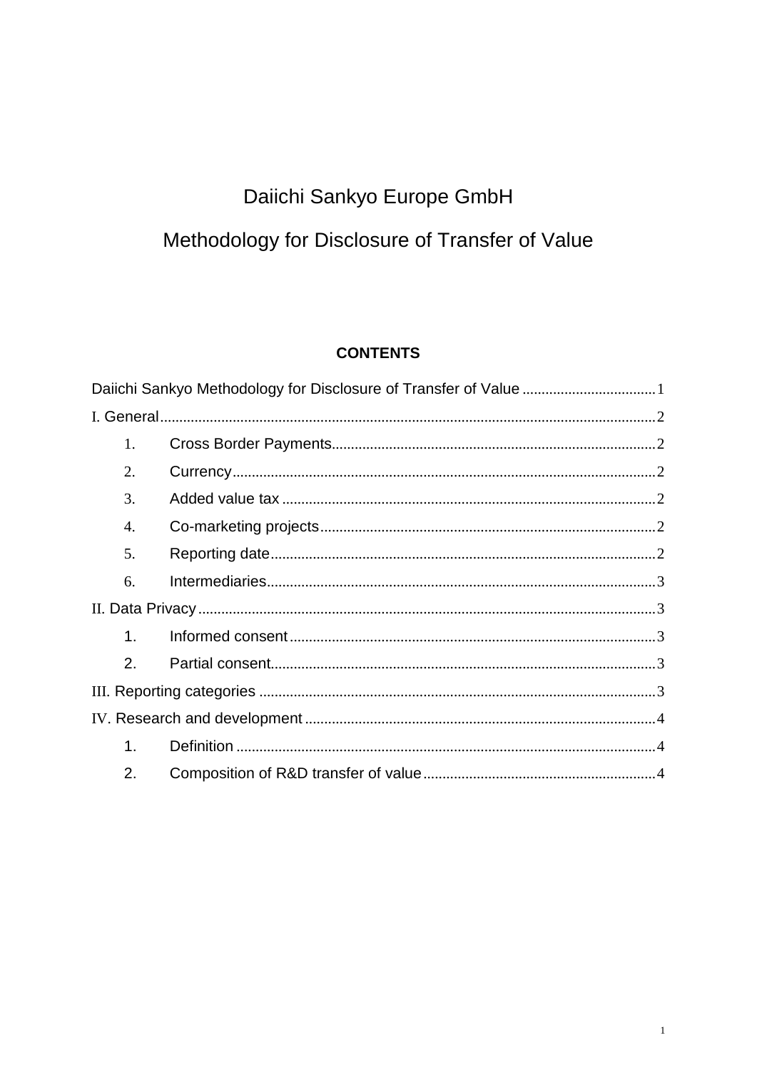# Daiichi Sankyo Europe GmbH

# <span id="page-1-0"></span>Methodology for Disclosure of Transfer of Value

#### **CONTENTS**

| 1. |  |
|----|--|
| 2. |  |
| 3. |  |
| 4. |  |
| 5. |  |
| 6. |  |
|    |  |
| 1. |  |
| 2. |  |
|    |  |
|    |  |
| 1. |  |
| 2. |  |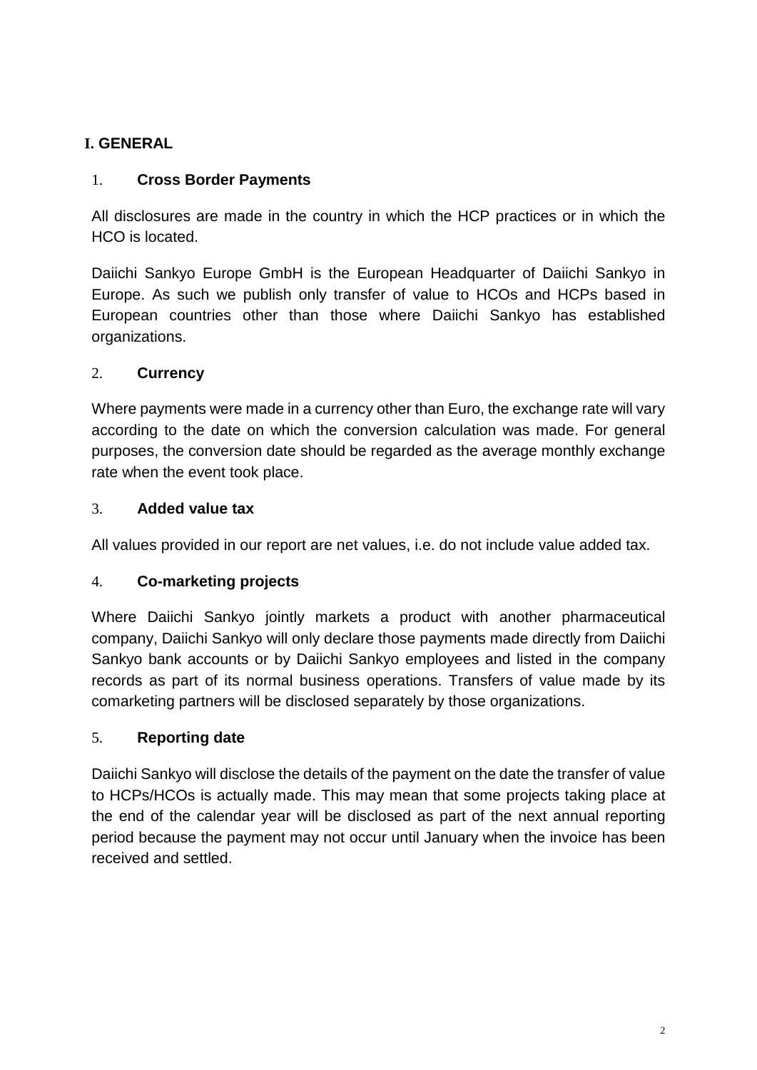# <span id="page-2-0"></span>**I. GENERAL**

#### <span id="page-2-1"></span>1. **Cross Border Payments**

All disclosures are made in the country in which the HCP practices or in which the HCO is located.

Daiichi Sankyo Europe GmbH is the European Headquarter of Daiichi Sankyo in Europe. As such we publish only transfer of value to HCOs and HCPs based in European countries other than those where Daiichi Sankyo has established organizations.

#### <span id="page-2-2"></span>2. **Currency**

Where payments were made in a currency other than Euro, the exchange rate will vary according to the date on which the conversion calculation was made. For general purposes, the conversion date should be regarded as the average monthly exchange rate when the event took place.

#### <span id="page-2-3"></span>3. **Added value tax**

All values provided in our report are net values, i.e. do not include value added tax.

#### <span id="page-2-4"></span>4. **Co-marketing projects**

Where Daiichi Sankyo jointly markets a product with another pharmaceutical company, Daiichi Sankyo will only declare those payments made directly from Daiichi Sankyo bank accounts or by Daiichi Sankyo employees and listed in the company records as part of its normal business operations. Transfers of value made by its comarketing partners will be disclosed separately by those organizations.

#### <span id="page-2-5"></span>5. **Reporting date**

Daiichi Sankyo will disclose the details of the payment on the date the transfer of value to HCPs/HCOs is actually made. This may mean that some projects taking place at the end of the calendar year will be disclosed as part of the next annual reporting period because the payment may not occur until January when the invoice has been received and settled.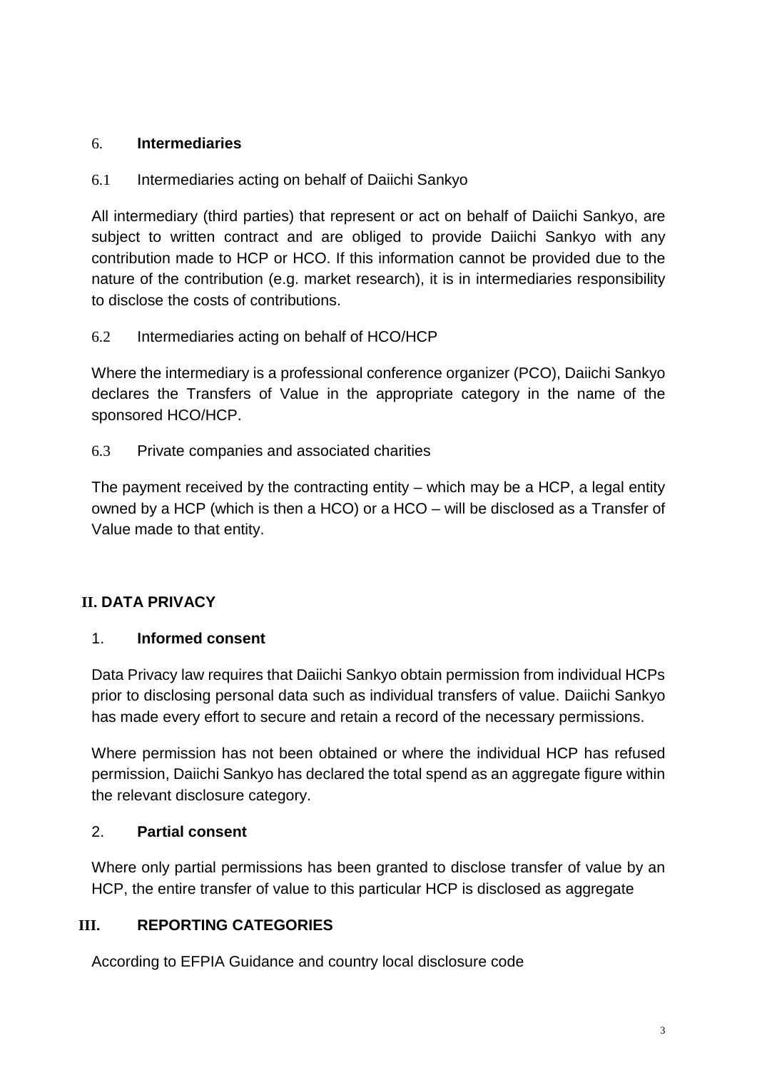#### <span id="page-3-0"></span>6. **Intermediaries**

6.1 Intermediaries acting on behalf of Daiichi Sankyo

All intermediary (third parties) that represent or act on behalf of Daiichi Sankyo, are subject to written contract and are obliged to provide Daiichi Sankyo with any contribution made to HCP or HCO. If this information cannot be provided due to the nature of the contribution (e.g. market research), it is in intermediaries responsibility to disclose the costs of contributions.

6.2 Intermediaries acting on behalf of HCO/HCP

Where the intermediary is a professional conference organizer (PCO), Daiichi Sankyo declares the Transfers of Value in the appropriate category in the name of the sponsored HCO/HCP.

6.3 Private companies and associated charities

The payment received by the contracting entity – which may be a HCP, a legal entity owned by a HCP (which is then a HCO) or a HCO – will be disclosed as a Transfer of Value made to that entity.

## <span id="page-3-1"></span>**II. DATA PRIVACY**

#### <span id="page-3-2"></span>1. **Informed consent**

Data Privacy law requires that Daiichi Sankyo obtain permission from individual HCPs prior to disclosing personal data such as individual transfers of value. Daiichi Sankyo has made every effort to secure and retain a record of the necessary permissions.

Where permission has not been obtained or where the individual HCP has refused permission, Daiichi Sankyo has declared the total spend as an aggregate figure within the relevant disclosure category.

#### <span id="page-3-3"></span>2. **Partial consent**

Where only partial permissions has been granted to disclose transfer of value by an HCP, the entire transfer of value to this particular HCP is disclosed as aggregate

#### <span id="page-3-4"></span>**III. REPORTING CATEGORIES**

According to EFPIA Guidance and country local disclosure code